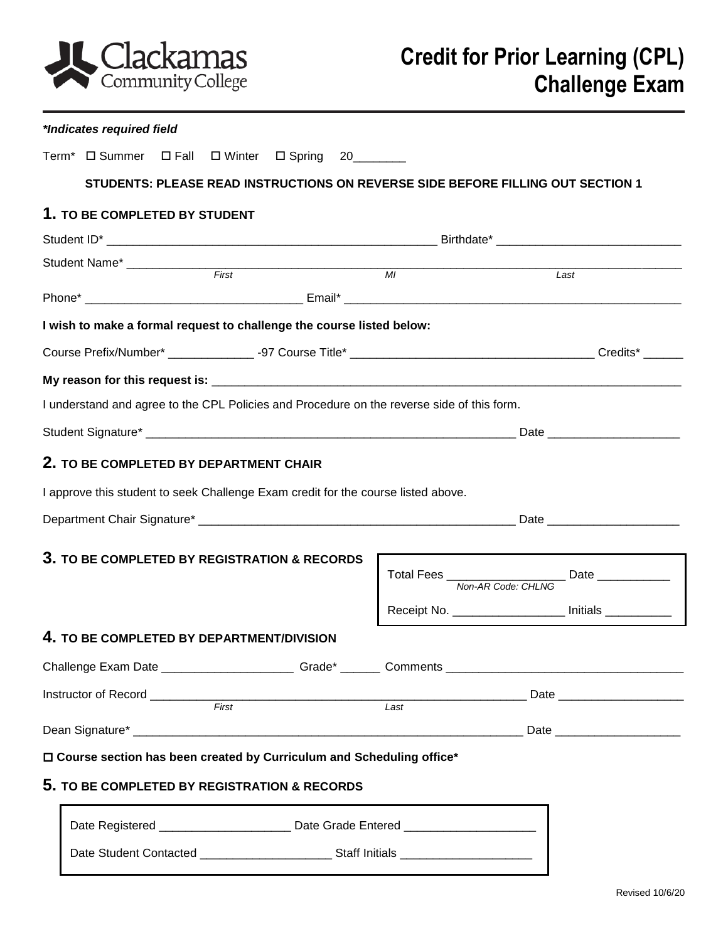

| *Indicates required field                    |                                                                                  |  |                                                                                   |                                                                                            |                                                                                 |  |
|----------------------------------------------|----------------------------------------------------------------------------------|--|-----------------------------------------------------------------------------------|--------------------------------------------------------------------------------------------|---------------------------------------------------------------------------------|--|
|                                              |                                                                                  |  | Term <sup>*</sup> D Summer D Fall D Winter D Spring 20_______                     |                                                                                            |                                                                                 |  |
|                                              |                                                                                  |  |                                                                                   |                                                                                            | STUDENTS: PLEASE READ INSTRUCTIONS ON REVERSE SIDE BEFORE FILLING OUT SECTION 1 |  |
| 1. TO BE COMPLETED BY STUDENT                |                                                                                  |  |                                                                                   |                                                                                            |                                                                                 |  |
|                                              |                                                                                  |  |                                                                                   |                                                                                            |                                                                                 |  |
|                                              |                                                                                  |  |                                                                                   |                                                                                            |                                                                                 |  |
|                                              |                                                                                  |  |                                                                                   |                                                                                            | Last                                                                            |  |
|                                              |                                                                                  |  |                                                                                   |                                                                                            |                                                                                 |  |
|                                              |                                                                                  |  | I wish to make a formal request to challenge the course listed below:             |                                                                                            |                                                                                 |  |
|                                              |                                                                                  |  |                                                                                   |                                                                                            |                                                                                 |  |
|                                              |                                                                                  |  |                                                                                   |                                                                                            |                                                                                 |  |
|                                              |                                                                                  |  |                                                                                   | I understand and agree to the CPL Policies and Procedure on the reverse side of this form. |                                                                                 |  |
|                                              |                                                                                  |  |                                                                                   |                                                                                            |                                                                                 |  |
| 2. TO BE COMPLETED BY DEPARTMENT CHAIR       |                                                                                  |  |                                                                                   |                                                                                            |                                                                                 |  |
|                                              |                                                                                  |  | I approve this student to seek Challenge Exam credit for the course listed above. |                                                                                            |                                                                                 |  |
|                                              |                                                                                  |  |                                                                                   |                                                                                            |                                                                                 |  |
| 3. TO BE COMPLETED BY REGISTRATION & RECORDS |                                                                                  |  |                                                                                   |                                                                                            |                                                                                 |  |
|                                              |                                                                                  |  |                                                                                   |                                                                                            | Receipt No. _________________ Initials _________                                |  |
| 4. TO BE COMPLETED BY DEPARTMENT/DIVISION    |                                                                                  |  |                                                                                   |                                                                                            |                                                                                 |  |
|                                              |                                                                                  |  |                                                                                   |                                                                                            |                                                                                 |  |
|                                              |                                                                                  |  |                                                                                   |                                                                                            |                                                                                 |  |
|                                              |                                                                                  |  |                                                                                   |                                                                                            |                                                                                 |  |
|                                              |                                                                                  |  |                                                                                   |                                                                                            |                                                                                 |  |
|                                              |                                                                                  |  | □ Course section has been created by Curriculum and Scheduling office*            |                                                                                            |                                                                                 |  |
|                                              |                                                                                  |  | 5. TO BE COMPLETED BY REGISTRATION & RECORDS                                      |                                                                                            |                                                                                 |  |
|                                              |                                                                                  |  |                                                                                   |                                                                                            |                                                                                 |  |
|                                              | Date Registered _________________________ Date Grade Entered ___________________ |  |                                                                                   |                                                                                            |                                                                                 |  |

Date Student Contacted \_\_\_\_\_\_\_\_\_\_\_\_\_\_\_\_\_\_\_\_ Staff Initials \_\_\_\_\_\_\_\_\_\_\_\_\_\_\_\_\_\_\_\_